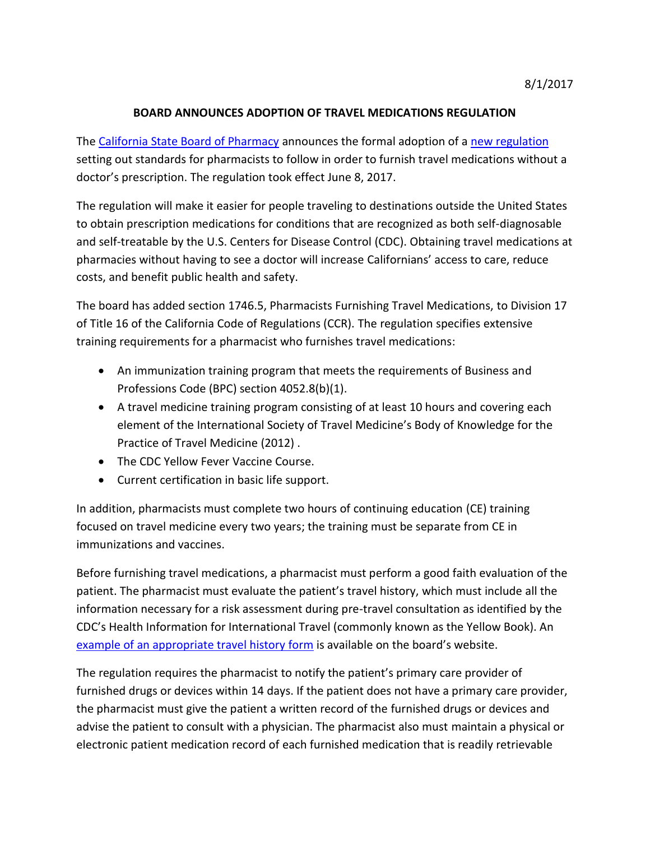## **BOARD ANNOUNCES ADOPTION OF TRAVEL MEDICATIONS REGULATION**

The [California State Board of Pharmacy](http://www.pharmacy.ca.gov/) announces the formal adoption of a [new regulation](http://www.pharmacy.ca.gov/publications/travel_health_history_form.pdf) setting out standards for pharmacists to follow in order to furnish travel medications without a doctor's prescription. The regulation took effect June 8, 2017.

The regulation will make it easier for people traveling to destinations outside the United States to obtain prescription medications for conditions that are recognized as both self-diagnosable and self-treatable by the U.S. Centers for Disease Control (CDC). Obtaining travel medications at pharmacies without having to see a doctor will increase Californians' access to care, reduce costs, and benefit public health and safety.

The board has added section 1746.5, Pharmacists Furnishing Travel Medications, to Division 17 of Title 16 of the California Code of Regulations (CCR). The regulation specifies extensive training requirements for a pharmacist who furnishes travel medications:

- An immunization training program that meets the requirements of Business and Professions Code (BPC) section 4052.8(b)(1).
- A travel medicine training program consisting of at least 10 hours and covering each element of the International Society of Travel Medicine's Body of Knowledge for the Practice of Travel Medicine (2012) .
- The CDC Yellow Fever Vaccine Course.
- Current certification in basic life support.

In addition, pharmacists must complete two hours of continuing education (CE) training focused on travel medicine every two years; the training must be separate from CE in immunizations and vaccines.

Before furnishing travel medications, a pharmacist must perform a good faith evaluation of the patient. The pharmacist must evaluate the patient's travel history, which must include all the information necessary for a risk assessment during pre-travel consultation as identified by the CDC's Health Information for International Travel (commonly known as the Yellow Book). An [example of an appropriate travel history form](http://www.pharmacy.ca.gov/publications/travel_health_history_form.pdf) is available on the board's website.

The regulation requires the pharmacist to notify the patient's primary care provider of furnished drugs or devices within 14 days. If the patient does not have a primary care provider, the pharmacist must give the patient a written record of the furnished drugs or devices and advise the patient to consult with a physician. The pharmacist also must maintain a physical or electronic patient medication record of each furnished medication that is readily retrievable